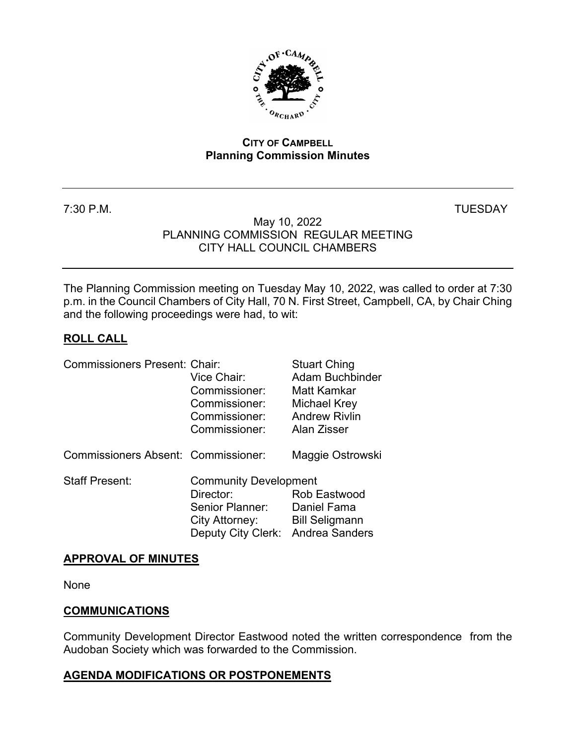

#### **CITY OF CAMPBELL Planning Commission Minutes**

7:30 P.M. TUESDAY

#### May 10, 2022 PLANNING COMMISSION REGULAR MEETING CITY HALL COUNCIL CHAMBERS

The Planning Commission meeting on Tuesday May 10, 2022, was called to order at 7:30 p.m. in the Council Chambers of City Hall, 70 N. First Street, Campbell, CA, by Chair Ching and the following proceedings were had, to wit:

## **ROLL CALL**

| <b>Commissioners Present: Chair:</b> | Vice Chair:<br>Commissioner:<br>Commissioner:<br>Commissioner:<br>Commissioner:                                     | <b>Stuart Ching</b><br>Adam Buchbinder<br>Matt Kamkar<br>Michael Krey<br><b>Andrew Rivlin</b><br>Alan Zisser |
|--------------------------------------|---------------------------------------------------------------------------------------------------------------------|--------------------------------------------------------------------------------------------------------------|
| Commissioners Absent: Commissioner:  |                                                                                                                     | Maggie Ostrowski                                                                                             |
| <b>Staff Present:</b>                | <b>Community Development</b><br>Director:<br>Senior Planner:<br>City Attorney:<br>Deputy City Clerk: Andrea Sanders | Rob Eastwood<br>Daniel Fama<br><b>Bill Seligmann</b>                                                         |

### **APPROVAL OF MINUTES**

None

### **COMMUNICATIONS**

Community Development Director Eastwood noted the written correspondence from the Audoban Society which was forwarded to the Commission.

### **AGENDA MODIFICATIONS OR POSTPONEMENTS**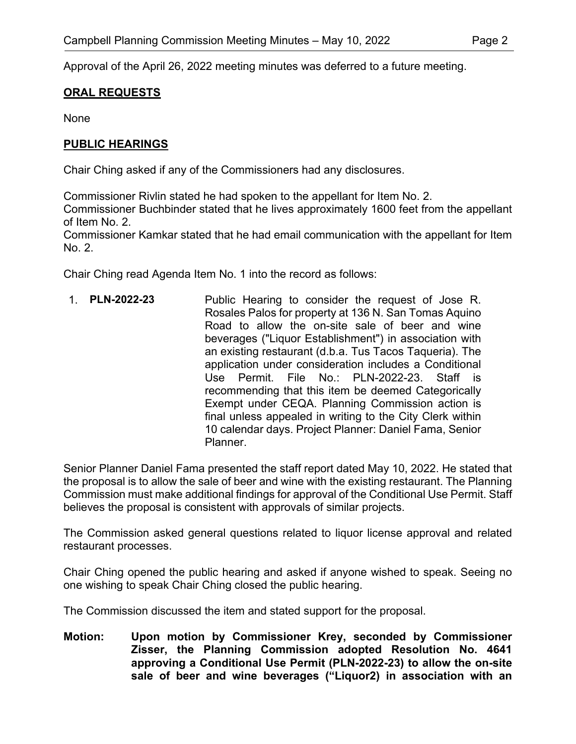Approval of the April 26, 2022 meeting minutes was deferred to a future meeting.

### **ORAL REQUESTS**

None

### **PUBLIC HEARINGS**

Chair Ching asked if any of the Commissioners had any disclosures.

Commissioner Rivlin stated he had spoken to the appellant for Item No. 2. Commissioner Buchbinder stated that he lives approximately 1600 feet from the appellant of Item No. 2.

Commissioner Kamkar stated that he had email communication with the appellant for Item No. 2.

Chair Ching read Agenda Item No. 1 into the record as follows:

1. **PLN-2022-23** Public Hearing to consider the request of Jose R. Rosales Palos for property at 136 N. San Tomas Aquino Road to allow the on-site sale of beer and wine beverages ("Liquor Establishment") in association with an existing restaurant (d.b.a. Tus Tacos Taqueria). The application under consideration includes a Conditional Use Permit. File  $No: PIN-2022-23$  Staff is recommending that this item be deemed Categorically Exempt under CEQA. Planning Commission action is final unless appealed in writing to the City Clerk within 10 calendar days. Project Planner: Daniel Fama, Senior Planner.

Senior Planner Daniel Fama presented the staff report dated May 10, 2022. He stated that the proposal is to allow the sale of beer and wine with the existing restaurant. The Planning Commission must make additional findings for approval of the Conditional Use Permit. Staff believes the proposal is consistent with approvals of similar projects.

The Commission asked general questions related to liquor license approval and related restaurant processes.

Chair Ching opened the public hearing and asked if anyone wished to speak. Seeing no one wishing to speak Chair Ching closed the public hearing.

The Commission discussed the item and stated support for the proposal.

**Motion: Upon motion by Commissioner Krey, seconded by Commissioner Zisser, the Planning Commission adopted Resolution No. 4641 approving a Conditional Use Permit (PLN-2022-23) to allow the on-site sale of beer and wine beverages ("Liquor2) in association with an**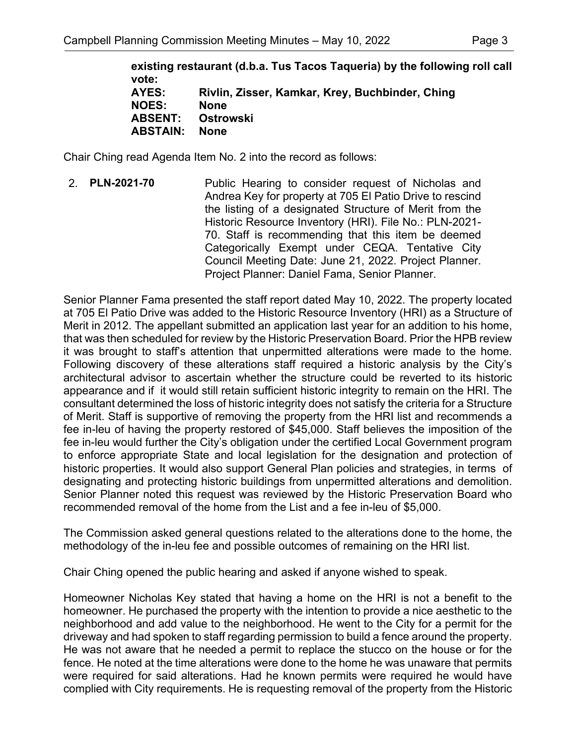**existing restaurant (d.b.a. Tus Tacos Taqueria) by the following roll call vote: AYES: Rivlin, Zisser, Kamkar, Krey, Buchbinder, Ching NOES: None ABSENT: Ostrowski ABSTAIN: None**

Chair Ching read Agenda Item No. 2 into the record as follows:

2. **PLN-2021-70** Public Hearing to consider request of Nicholas and Andrea Key for property at 705 El Patio Drive to rescind the listing of a designated Structure of Merit from the Historic Resource Inventory (HRI). File No.: PLN-2021- 70. Staff is recommending that this item be deemed Categorically Exempt under CEQA. Tentative City Council Meeting Date: June 21, 2022. Project Planner. Project Planner: Daniel Fama, Senior Planner.

Senior Planner Fama presented the staff report dated May 10, 2022. The property located at 705 El Patio Drive was added to the Historic Resource Inventory (HRI) as a Structure of Merit in 2012. The appellant submitted an application last year for an addition to his home, that was then scheduled for review by the Historic Preservation Board. Prior the HPB review it was brought to staff's attention that unpermitted alterations were made to the home. Following discovery of these alterations staff required a historic analysis by the City's architectural advisor to ascertain whether the structure could be reverted to its historic appearance and if it would still retain sufficient historic integrity to remain on the HRI. The consultant determined the loss of historic integrity does not satisfy the criteria for a Structure of Merit. Staff is supportive of removing the property from the HRI list and recommends a fee in-leu of having the property restored of \$45,000. Staff believes the imposition of the fee in-leu would further the City's obligation under the certified Local Government program to enforce appropriate State and local legislation for the designation and protection of historic properties. It would also support General Plan policies and strategies, in terms of designating and protecting historic buildings from unpermitted alterations and demolition. Senior Planner noted this request was reviewed by the Historic Preservation Board who recommended removal of the home from the List and a fee in-leu of \$5,000.

The Commission asked general questions related to the alterations done to the home, the methodology of the in-leu fee and possible outcomes of remaining on the HRI list.

Chair Ching opened the public hearing and asked if anyone wished to speak.

Homeowner Nicholas Key stated that having a home on the HRI is not a benefit to the homeowner. He purchased the property with the intention to provide a nice aesthetic to the neighborhood and add value to the neighborhood. He went to the City for a permit for the driveway and had spoken to staff regarding permission to build a fence around the property. He was not aware that he needed a permit to replace the stucco on the house or for the fence. He noted at the time alterations were done to the home he was unaware that permits were required for said alterations. Had he known permits were required he would have complied with City requirements. He is requesting removal of the property from the Historic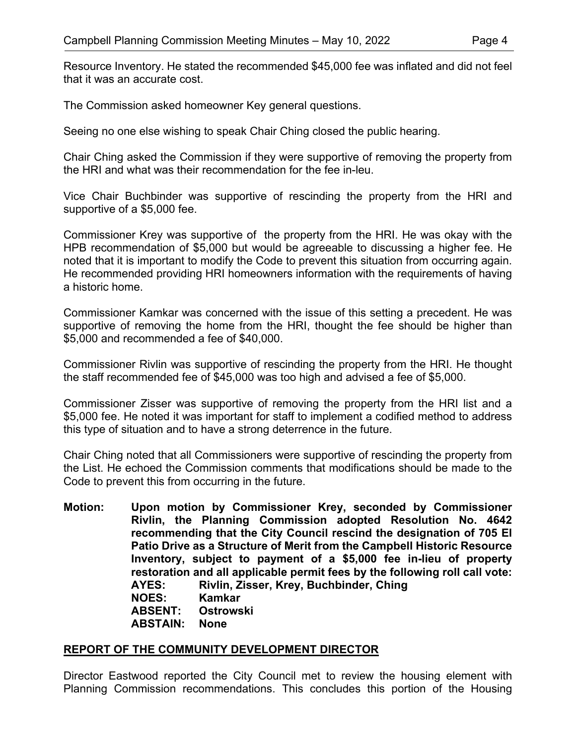Resource Inventory. He stated the recommended \$45,000 fee was inflated and did not feel that it was an accurate cost.

The Commission asked homeowner Key general questions.

Seeing no one else wishing to speak Chair Ching closed the public hearing.

Chair Ching asked the Commission if they were supportive of removing the property from the HRI and what was their recommendation for the fee in-leu.

Vice Chair Buchbinder was supportive of rescinding the property from the HRI and supportive of a \$5,000 fee.

Commissioner Krey was supportive of the property from the HRI. He was okay with the HPB recommendation of \$5,000 but would be agreeable to discussing a higher fee. He noted that it is important to modify the Code to prevent this situation from occurring again. He recommended providing HRI homeowners information with the requirements of having a historic home.

Commissioner Kamkar was concerned with the issue of this setting a precedent. He was supportive of removing the home from the HRI, thought the fee should be higher than \$5,000 and recommended a fee of \$40,000.

Commissioner Rivlin was supportive of rescinding the property from the HRI. He thought the staff recommended fee of \$45,000 was too high and advised a fee of \$5,000.

Commissioner Zisser was supportive of removing the property from the HRI list and a \$5,000 fee. He noted it was important for staff to implement a codified method to address this type of situation and to have a strong deterrence in the future.

Chair Ching noted that all Commissioners were supportive of rescinding the property from the List. He echoed the Commission comments that modifications should be made to the Code to prevent this from occurring in the future.

**Motion: Upon motion by Commissioner Krey, seconded by Commissioner Rivlin, the Planning Commission adopted Resolution No. 4642 recommending that the City Council rescind the designation of 705 El Patio Drive as a Structure of Merit from the Campbell Historic Resource Inventory, subject to payment of a \$5,000 fee in-lieu of property restoration and all applicable permit fees by the following roll call vote: AYES: Rivlin, Zisser, Krey, Buchbinder, Ching NOES: Kamkar ABSENT: Ostrowski ABSTAIN: None**

# **REPORT OF THE COMMUNITY DEVELOPMENT DIRECTOR**

Director Eastwood reported the City Council met to review the housing element with Planning Commission recommendations. This concludes this portion of the Housing